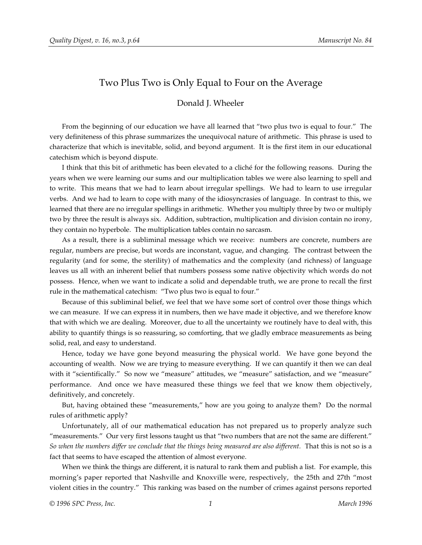## Two Plus Two is Only Equal to Four on the Average

## Donald J. Wheeler

From the beginning of our education we have all learned that "two plus two is equal to four." The very definiteness of this phrase summarizes the unequivocal nature of arithmetic. This phrase is used to characterize that which is inevitable, solid, and beyond argument. It is the first item in our educational catechism which is beyond dispute.

I think that this bit of arithmetic has been elevated to a cliché for the following reasons. During the years when we were learning our sums and our multiplication tables we were also learning to spell and to write. This means that we had to learn about irregular spellings. We had to learn to use irregular verbs. And we had to learn to cope with many of the idiosyncrasies of language. In contrast to this, we learned that there are no irregular spellings in arithmetic. Whether you multiply three by two or multiply two by three the result is always six. Addition, subtraction, multiplication and division contain no irony, they contain no hyperbole. The multiplication tables contain no sarcasm.

As a result, there is a subliminal message which we receive: numbers are concrete, numbers are regular, numbers are precise, but words are inconstant, vague, and changing. The contrast between the regularity (and for some, the sterility) of mathematics and the complexity (and richness) of language leaves us all with an inherent belief that numbers possess some native objectivity which words do not possess. Hence, when we want to indicate a solid and dependable truth, we are prone to recall the first rule in the mathematical catechism: "Two plus two is equal to four."

Because of this subliminal belief, we feel that we have some sort of control over those things which we can measure. If we can express it in numbers, then we have made it objective, and we therefore know that with which we are dealing. Moreover, due to all the uncertainty we routinely have to deal with, this ability to quantify things is so reassuring, so comforting, that we gladly embrace measurements as being solid, real, and easy to understand.

Hence, today we have gone beyond measuring the physical world. We have gone beyond the accounting of wealth. Now we are trying to measure everything. If we can quantify it then we can deal with it "scientifically." So now we "measure" attitudes, we "measure" satisfaction, and we "measure" performance. And once we have measured these things we feel that we know them objectively, definitively, and concretely.

But, having obtained these "measurements," how are you going to analyze them? Do the normal rules of arithmetic apply?

Unfortunately, all of our mathematical education has not prepared us to properly analyze such "measurements." Our very first lessons taught us that "two numbers that are not the same are different." *So when the numbers differ we conclude that the things being measured are also different.* That this is not so is a fact that seems to have escaped the attention of almost everyone.

When we think the things are different, it is natural to rank them and publish a list. For example, this morning's paper reported that Nashville and Knoxville were, respectively, the 25th and 27th "most violent cities in the country." This ranking was based on the number of crimes against persons reported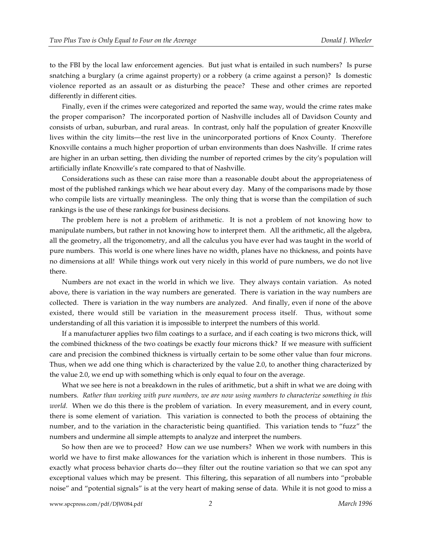to the FBI by the local law enforcement agencies. But just what is entailed in such numbers? Is purse snatching a burglary (a crime against property) or a robbery (a crime against a person)? Is domestic violence reported as an assault or as disturbing the peace? These and other crimes are reported differently in different cities.

Finally, even if the crimes were categorized and reported the same way, would the crime rates make the proper comparison? The incorporated portion of Nashville includes all of Davidson County and consists of urban, suburban, and rural areas. In contrast, only half the population of greater Knoxville lives within the city limits—the rest live in the unincorporated portions of Knox County. Therefore Knoxville contains a much higher proportion of urban environments than does Nashville. If crime rates are higher in an urban setting, then dividing the number of reported crimes by the city's population will artificially inflate Knoxville's rate compared to that of Nashville.

Considerations such as these can raise more than a reasonable doubt about the appropriateness of most of the published rankings which we hear about every day. Many of the comparisons made by those who compile lists are virtually meaningless. The only thing that is worse than the compilation of such rankings is the use of these rankings for business decisions.

The problem here is not a problem of arithmetic. It is not a problem of not knowing how to manipulate numbers, but rather in not knowing how to interpret them. All the arithmetic, all the algebra, all the geometry, all the trigonometry, and all the calculus you have ever had was taught in the world of pure numbers. This world is one where lines have no width, planes have no thickness, and points have no dimensions at all! While things work out very nicely in this world of pure numbers, we do not live there.

Numbers are not exact in the world in which we live. They always contain variation. As noted above, there is variation in the way numbers are generated. There is variation in the way numbers are collected. There is variation in the way numbers are analyzed. And finally, even if none of the above existed, there would still be variation in the measurement process itself. Thus, without some understanding of all this variation it is impossible to interpret the numbers of this world.

If a manufacturer applies two film coatings to a surface, and if each coating is two microns thick, will the combined thickness of the two coatings be exactly four microns thick? If we measure with sufficient care and precision the combined thickness is virtually certain to be some other value than four microns. Thus, when we add one thing which is characterized by the value 2.0, to another thing characterized by the value 2.0, we end up with something which is only equal to four on the average.

What we see here is not a breakdown in the rules of arithmetic, but a shift in what we are doing with numbers. *Rather than working with pure numbers, we are now using numbers to characterize something in this world.* When we do this there is the problem of variation. In every measurement, and in every count, there is some element of variation. This variation is connected to both the process of obtaining the number, and to the variation in the characteristic being quantified. This variation tends to "fuzz" the numbers and undermine all simple attempts to analyze and interpret the numbers.

So how then are we to proceed? How can we use numbers? When we work with numbers in this world we have to first make allowances for the variation which is inherent in those numbers. This is exactly what process behavior charts do—they filter out the routine variation so that we can spot any exceptional values which may be present. This filtering, this separation of all numbers into "probable noise" and "potential signals" is at the very heart of making sense of data. While it is not good to miss a